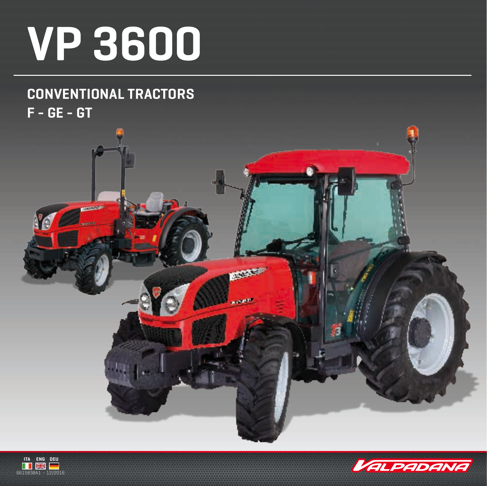## **VP 3600**

## **CONVENTIONAL TRACTORS F - GE - GT**





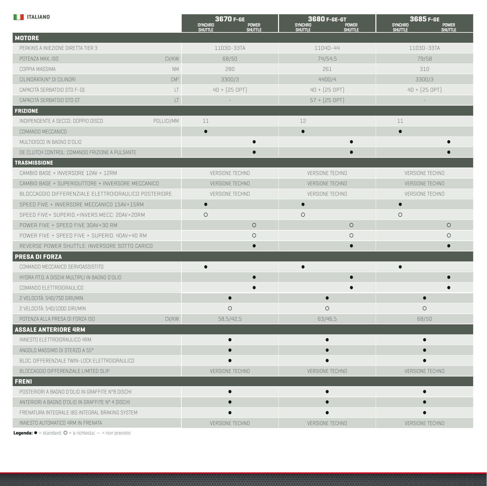| <b>THE ITALIANO</b>                                  |                 | 3670 F-GE<br><b>SYNCHRO</b><br><b>POWER</b><br><b>SHUTTLE</b><br>Shuttle | 3680 F-GE-GT<br>SYNCHRO<br><b>POWER</b><br><b>SHUTTLE</b><br>SHUTTLE | 3685 F-GE<br>SYNCHRO<br>SHUTTLE<br><b>POWER</b><br>SHUTTLE |  |  |  |
|------------------------------------------------------|-----------------|--------------------------------------------------------------------------|----------------------------------------------------------------------|------------------------------------------------------------|--|--|--|
| <b>MOTORE</b>                                        |                 |                                                                          |                                                                      |                                                            |  |  |  |
| PERKINS A INIEZIONE DIRETTA TIER 3                   |                 | 1103D-33TA                                                               | 1104D-44                                                             | 1103D-33TA                                                 |  |  |  |
| POTENZA MAX, ISO                                     | CV/KW           | 68/50                                                                    | 74/54,5                                                              | 79/58                                                      |  |  |  |
| COPPIA MASSIMA                                       | <b>NM</b>       | 280                                                                      | 261                                                                  | 310                                                        |  |  |  |
| CILINDRATA/N° DI CILINDRI                            | CM <sup>3</sup> | 3300/3                                                                   | 4400/4                                                               | 3300/3                                                     |  |  |  |
| CAPACITÀ SERBATOIO STD F-GE                          | LT              | $40 + [25 OPT]$                                                          | $40 + [25 OPT]$                                                      | $40 + [25 OPT]$                                            |  |  |  |
| CAPACITÀ SERBATOIO STD GT                            | LT              |                                                                          | $57 + [25$ OPT]                                                      |                                                            |  |  |  |
| <b>FRIZIONE</b>                                      |                 |                                                                          |                                                                      |                                                            |  |  |  |
| POLLICI/MM<br>INDIPENDENTE A SECCO; DOPPIO DISCO     |                 | 11                                                                       | 12                                                                   | 11                                                         |  |  |  |
| COMANDO MECCANICO                                    |                 | $\bullet$                                                                | $\bullet$                                                            | $\bullet$                                                  |  |  |  |
| MULTIDISCO IN BAGNO D'OLIO                           |                 |                                                                          |                                                                      |                                                            |  |  |  |
| DE CLUTCH CONTROL: COMANDO FRIZIONE A PULSANTE       |                 |                                                                          |                                                                      |                                                            |  |  |  |
| <b>TRASMISSIONE</b>                                  |                 |                                                                          |                                                                      |                                                            |  |  |  |
| CAMBIO BASE + INVERSORE 12AV + 12RM                  |                 | VERSIONE TECHNO                                                          | VERSIONE TECHNO                                                      | VERSIONE TECHNO                                            |  |  |  |
| CAMBIO BASE + SUPERIDUTTORE + INVERSORE MECCANICO    |                 | VERSIONE TECHNO                                                          | VERSIONE TECHNO                                                      | VERSIONE TECHNO                                            |  |  |  |
| BLOCCAGGIO DIFFERENZIALE ELETTROIDRAULICO POSTERIORE |                 | VERSIONE TECHNO                                                          | <b>VERSIONE TECHNO</b>                                               | VERSIONE TECHNO                                            |  |  |  |
| SPEED FIVE + INVERSORE MECCANICO 15AV+15RM           |                 |                                                                          |                                                                      |                                                            |  |  |  |
| SPEED FIVE+ SUPERID.+INVERS.MECC: 20AV+20RM          |                 | $\circ$                                                                  | $\circ$                                                              | $\circ$                                                    |  |  |  |
| POWER FIVE + SPEED FIVE 30AV+30 RM                   |                 | $\circ$                                                                  | $\circ$                                                              | $\circ$                                                    |  |  |  |
| POWER FIVE + SPEED FIVE + SUPERID. 40AV+40 RM        |                 | $\circ$                                                                  | $\circ$                                                              | $\circ$                                                    |  |  |  |
| REVERSE POWER SHUTTLE: INVERSORE SOTTO CARICO        |                 | $\bullet$                                                                | $\bullet$                                                            |                                                            |  |  |  |
| <b>PRESA DI FORZA</b>                                |                 |                                                                          |                                                                      |                                                            |  |  |  |
| COMANDO MECCANICO SERVOASSISTITO                     |                 | $\bullet$                                                                |                                                                      |                                                            |  |  |  |
| HYDRA P.T.O. A DISCHI MULTIPLI IN BAGNO D'OLIO       |                 |                                                                          |                                                                      |                                                            |  |  |  |
| COMANDO ELETTROIDRAULICO                             |                 |                                                                          |                                                                      |                                                            |  |  |  |
| 2 VELOCITÀ: 540/750 GIRI/MIN                         |                 | $\bullet$                                                                | $\bullet$                                                            |                                                            |  |  |  |
| 2 VELOCITÀ: 540/1000 GIRI/MIN                        |                 | $\circ$                                                                  | $\circ$                                                              | $\circ$                                                    |  |  |  |
| POTENZA ALLA PRESA DI FORZA ISO                      | CV/KW           | 58,5/42,5                                                                | 63/46,5                                                              | 68/50                                                      |  |  |  |
| <b>ASSALE ANTERIORE 4RM</b>                          |                 |                                                                          |                                                                      |                                                            |  |  |  |
| INNESTO ELETTROIDRAULICO 4RM                         |                 | $\bullet$                                                                | $\bullet$                                                            |                                                            |  |  |  |
| ANGOLO MASSIMO DI STERZO A 55°                       |                 |                                                                          |                                                                      |                                                            |  |  |  |
| BLOC. DIFFERENZIALE TWIN-LOCK ELETTROIDRAULICO       |                 |                                                                          |                                                                      |                                                            |  |  |  |
| BLOCCAGGIO DIFFERENZIALE LIMITED SLIP                |                 | VERSIONE TECHNO                                                          | VERSIONE TECHNO                                                      | VERSIONE TECHNO                                            |  |  |  |
| <b>FRENI</b>                                         |                 |                                                                          |                                                                      |                                                            |  |  |  |
| POSTERIORI A BAGNO D'OLIO IN GRAFFITE N°8 DISCHI     |                 |                                                                          |                                                                      | $\bullet$                                                  |  |  |  |
| ANTERIORI A BAGNO D'OLIO IN GRAFFITE Nº 4 DISCHI     |                 | $\bullet$                                                                | $\bullet$                                                            |                                                            |  |  |  |
| FRENATURA INTEGRALE IBS INTEGRAL BRAKING SYSTEM      |                 |                                                                          |                                                                      |                                                            |  |  |  |
| INNESTO AUTOMATICO 4RM IN FRENATA                    |                 | VERSIONE TECHNO                                                          | VERSIONE TECHNO                                                      | VERSIONE TECHNO                                            |  |  |  |

**Legenda:**  $\bullet$  = standard;  $O$  = a richiesta;  $-$  = non previsto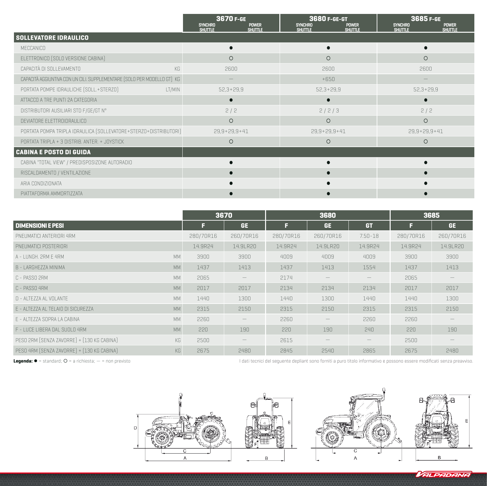|                                                                         | 3670 F-GE<br><b>SYNCHRO</b><br><b>POWER</b><br><b>SHUTTLE</b><br><b>SHUTTLE</b> | 3680 F-GE-GT<br><b>SYNCHRO</b><br><b>POWER</b><br><b>SHUTTLE</b><br><b>SHUTTLE</b> | 3685 F-GE<br><b>SYNCHRO</b><br><b>POWER</b><br><b>SHUTTLE</b><br><b>SHUTTLE</b> |
|-------------------------------------------------------------------------|---------------------------------------------------------------------------------|------------------------------------------------------------------------------------|---------------------------------------------------------------------------------|
| <b>SOLLEVATORE IDRAULICO</b>                                            |                                                                                 |                                                                                    |                                                                                 |
| MECCANICO                                                               |                                                                                 |                                                                                    |                                                                                 |
| ELETTRONICO [SOLO VERSIONE CABINA]                                      | $\circ$                                                                         | $\circ$                                                                            | $\circ$                                                                         |
| CAPACITÀ DI SOLLEVAMENTO<br>KG                                          | 2600                                                                            | 2600                                                                               | 2600                                                                            |
| CAPACITÀ AGGIUNTIVA CON UN CILI. SUPPLEMENTARE [SOLO PER MODELLO GT] KG |                                                                                 | $+650$                                                                             |                                                                                 |
| PORTATA POMPE IDRAULICHE [SOLL.+STERZO]<br>LT/MIN                       | $52,3+29,9$                                                                     | $52,3+29,9$                                                                        | $52,3+29,9$                                                                     |
| ATTACCO A TRE PUNTI 2A CATEGORIA                                        |                                                                                 |                                                                                    |                                                                                 |
| DISTRIBUTORI AUSILIARI STD F/GE/GT N°                                   | 2/2                                                                             | 2/2/3                                                                              | 2/2                                                                             |
| DEVIATORE ELETTROIDRAULICO                                              | $\circ$                                                                         | $\circ$                                                                            | $\circ$                                                                         |
| PORTATA POMPA TRIPLA IDRAULICA [SOLLEVATORE+STERZO+DISTRIBUTORI]        | $29,9+29,9+41$                                                                  | $29,9+29,9+41$                                                                     | $29,9+29,9+41$                                                                  |
| PORTATA TRIPLA + 3 DISTRIB. ANTER. + JOYSTICK                           | $\circ$                                                                         | $\circ$                                                                            | $\circ$                                                                         |
| <b>CABINA E POSTO DI GUIDA</b>                                          |                                                                                 |                                                                                    |                                                                                 |
| CABINA "TOTAL VIEW" / PREDISPOSIZONE AUTORADIO                          |                                                                                 |                                                                                    |                                                                                 |
| RISCALDAMENTO / VENTILAZIONE                                            |                                                                                 |                                                                                    |                                                                                 |
| ARIA CONDIZIONATA                                                       |                                                                                 |                                                                                    |                                                                                 |
| PIATTAFORMA AMMORTIZZATA                                                |                                                                                 |                                                                                    |                                                                                 |

|                                                  |           | 3670              |           | 3680                     | 3685                            |           |                                           |
|--------------------------------------------------|-----------|-------------------|-----------|--------------------------|---------------------------------|-----------|-------------------------------------------|
| <b>DIMENSIONI E PESI</b>                         | F         | <b>GE</b>         | ß         | <b>GE</b>                | <b>GT</b>                       | Е         | GE.                                       |
| PNEUMATICI ANTERIORI 4RM                         | 280/70R16 | 260/70R16         | 280/70R16 | 260/70R16                | $7.50 - 18$                     | 280/70R16 | 260/70R16                                 |
| PNEUMATICI POSTERIORI                            | 14.9R24   | 14.9LR20          | 14.9R24   | 14.9LR20                 | 14.9R24                         | 14.9R24   | 14.9LR20                                  |
| <b>MM</b><br>A - I UNGH, 2RM F 4RM               | 3900      | 3900              | 4009      | 4009                     | 4009                            | 3900      | 3900                                      |
| <b>MM</b><br>B - LARGHEZZA MINIMA                | 1437      | 1413              | 1437      | 1413                     | 1554                            | 1437      | 1413                                      |
| <b>MM</b><br>C - PASSO 2RM                       | 2065      |                   | 2174      |                          |                                 | 2065      |                                           |
| <b>MM</b><br>C - PASSO 4RM                       | 2017      | 2017              | 2134      | 2134                     | 2134                            | 2017      | 2017                                      |
| <b>MM</b><br>D - ALTEZZA AL VOLANTE              | 1440      | 1300              | 1440      | 1300                     | 1440                            | 1440      | 1300                                      |
| <b>MM</b><br>E - ALTEZZA AL TELAIO DI SICUREZZA  | 2315      | 2150              | 2315      | 2150                     | 2315                            | 2315      | 2150                                      |
| <b>MM</b><br>E - ALTEZZA SOPRA LA CABINA         | 2260      |                   | 2260      |                          | 2260                            | 2260      |                                           |
| <b>MM</b><br>F - LUCE LIBERA DAL SUOLO 4RM       | 220       | 190               | 220       | 190                      | 240                             | 220       | 190                                       |
| KG<br>PESO 2RM (SENZA ZAVORRE) + [130 KG CABINA] | 2500      | $\qquad \qquad -$ | 2615      | $\qquad \qquad - \qquad$ | $\hspace{0.1mm}-\hspace{0.1mm}$ | 2500      | $\qquad \qquad \overline{\qquad \qquad }$ |
| PESO 4RM (SENZA ZAVORRE) + [130 KG CABINA]<br>KG | 2675      | 2480              | 2845      | 2540<br>2865             |                                 | 2675      | 2480                                      |

**Legenda:**  $\bullet$  = standard;  $O$  = a richiesta;  $-$  = non previsto

I dati tecnici del seguente depliant sono forniti a puro titolo informativo e possono essere modificati senza preavviso.



VALPADANA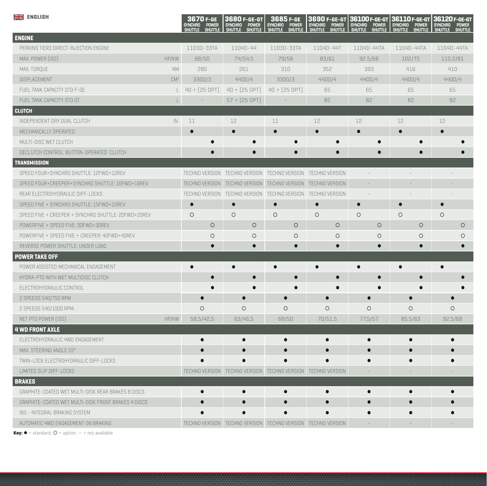| <b>ENGLISH</b>                                      |                 | 3670 F-GE<br>Synchro<br><b>POWER</b><br><b>SHUTTLE</b><br><b>SHUTTLE</b> | 3680 F-GE-GT<br><b>SYNCHRO</b><br><b>POWER</b><br>Shuttle<br><b>SHUTTLE</b> | 3685 F-GE<br>Synchro<br>Power<br><b>SHUTTLE</b><br><b>SHUTTLE</b> | 3690 F-GE-GT<br><b>SYNCHRO</b><br><b>POWER</b><br><b>SHUTTLE</b><br><b>SHUTTLE</b> | 36100 F-GE-GT<br><b>SYNCHRO</b><br><b>POWER</b><br><b>SHUTTLE</b><br><b>SHUTTLE</b> | 36110 F-GE-GT<br>SYNCHRO<br><b>POWER</b><br><b>SHUTTLE</b><br><b>SHUTTLE</b> | 36120 F-GE-GT<br><b>SYNCHRO</b><br>POWER<br><b>SHUTTLE</b> |  |
|-----------------------------------------------------|-----------------|--------------------------------------------------------------------------|-----------------------------------------------------------------------------|-------------------------------------------------------------------|------------------------------------------------------------------------------------|-------------------------------------------------------------------------------------|------------------------------------------------------------------------------|------------------------------------------------------------|--|
| <b>ENGINE</b>                                       |                 |                                                                          |                                                                             |                                                                   |                                                                                    |                                                                                     |                                                                              |                                                            |  |
| PERKINS TIER3 DIRECT-INJECTION ENGINE               |                 | 1103D-33TA                                                               | 1104D-44                                                                    | 1103D-33TA                                                        | 1104D-44T                                                                          | 1104D-44TA                                                                          | 1104D-44TA                                                                   | 1104D-44TA                                                 |  |
| MAX. POWER [ISO]                                    | HP/KW           | 68/50                                                                    | 74/54,5                                                                     | 79/58                                                             | 83/61                                                                              | 92.5/68                                                                             | 102/75                                                                       | 110.2/81                                                   |  |
| MAX. TORQUE                                         | <b>NM</b>       | 280                                                                      | 261                                                                         | 310                                                               | 352                                                                                | 393                                                                                 | 416                                                                          | 410                                                        |  |
| DISPLACEMENT                                        | CM <sup>3</sup> | 3300/3                                                                   | 4400/4                                                                      | 3300/3                                                            | 4400/4                                                                             | 4400/4                                                                              | 4400/4                                                                       | 4400/4                                                     |  |
| FUEL TANK CAPACITY STD F-GE                         | L.              | $40 + [25 OPT]$                                                          | $40 + [25 OPT]$                                                             | $40 + [25 OPT]$                                                   | 65                                                                                 | 65                                                                                  | 65                                                                           | 65                                                         |  |
| FUEL TANK CAPACITY STD GT                           | $\mathsf L$     |                                                                          | $57 + [25$ OPT]                                                             |                                                                   | 82                                                                                 | 82                                                                                  | 82                                                                           | 82                                                         |  |
| <b>CLUTCH</b>                                       |                 |                                                                          |                                                                             |                                                                   |                                                                                    |                                                                                     |                                                                              |                                                            |  |
| INDEPENDENT DRY DUAL CLUTCH                         | IN.             | 11                                                                       | 12                                                                          | 11                                                                | 12                                                                                 | 12                                                                                  | 12                                                                           | 12                                                         |  |
| MECHANICALLY OPERATED                               |                 | $\bullet$                                                                |                                                                             | $\bullet$                                                         | $\bullet$                                                                          | $\bullet$                                                                           | $\bullet$                                                                    | $\epsilon$                                                 |  |
| MULTI-DISC WET CLUTCH                               |                 |                                                                          |                                                                             |                                                                   |                                                                                    | $\bullet$                                                                           |                                                                              |                                                            |  |
| DECLUTCH CONTROL: BUTTON-OPERATED CLUTCH            |                 | $\bullet$                                                                | $\bullet$                                                                   | $\bullet$                                                         | $\bullet$                                                                          | $\bullet$                                                                           |                                                                              |                                                            |  |
| <b>TRANSMISSION</b>                                 |                 |                                                                          |                                                                             |                                                                   |                                                                                    |                                                                                     |                                                                              |                                                            |  |
| SPEED FOUR+SYNCHRO SHUTTLE: 12FWD+12REV             |                 |                                                                          |                                                                             | TECHNO VERSION TECHNO VERSION TECHNO VERSION TECHNO VERSION       |                                                                                    | $\sim$                                                                              | $\equiv$                                                                     |                                                            |  |
| SPEED FOUR+CREEPER+SYNCHRO SHUTTLE: 16FWD+16REV     |                 | TECHNO VERSION                                                           |                                                                             | TECHNO VERSION TECHNO VERSION                                     | TECHNO VERSION                                                                     |                                                                                     |                                                                              |                                                            |  |
| REAR ELECTROHYDRAULIC DIFF-LOCKS                    |                 | TECHNO VERSION                                                           |                                                                             | TECHNO VERSION TECHNO VERSION TECHNO VERSION                      |                                                                                    | $\overline{a}$                                                                      |                                                                              |                                                            |  |
| SPEED FIVE + SYNCHRO SHUTTLE: 15FWD+15REV           |                 | $\bullet$                                                                | $\bullet$                                                                   | $\bullet$                                                         | $\bullet$                                                                          | $\bullet$                                                                           | $\bullet$                                                                    |                                                            |  |
| SPEED FIVE + CREEPER + SYNCHRO SHUTTLE: 20FWD+20REV |                 | $\circ$                                                                  | $\circ$                                                                     | $\circ$                                                           | $\circ$                                                                            | $\circ$                                                                             | $\circ$                                                                      | $\circ$                                                    |  |
| POWERFIVE + SPEED FIVE: 30FWD+30REV                 |                 | $\circ$                                                                  | $\circ$                                                                     | $\circ$                                                           | $\circ$                                                                            | $\circ$                                                                             | $\circ$                                                                      | $\circ$                                                    |  |
| POWERFIVE + SPEED FIVE + CREEPER: 40FWD+40REV       |                 | $\circ$                                                                  | $\circ$                                                                     | $\circ$                                                           | $\circ$                                                                            | $\circ$                                                                             | $\circ$                                                                      | $\circ$                                                    |  |
| REVERSE POWER SHUTTLE: UNDER LOAD                   |                 | $\bullet$                                                                | $\bullet$                                                                   | $\bullet$                                                         | $\bullet$                                                                          | $\bullet$                                                                           | $\bullet$                                                                    |                                                            |  |
| POWER TAKE OFF                                      |                 |                                                                          |                                                                             |                                                                   |                                                                                    |                                                                                     |                                                                              |                                                            |  |
| POWER ASSISTED MECHANICAL ENGAGEMENT                |                 | $\bullet$                                                                |                                                                             | $\bullet$                                                         | $\bullet$                                                                          | $\bullet$                                                                           | $\bullet$                                                                    |                                                            |  |
| HYDRA-PTO WITH WET MULTIDISC CLUTCH                 |                 | $\bullet$                                                                | $\bullet$                                                                   | $\bullet$                                                         | $\bullet$                                                                          | $\bullet$                                                                           | $\bullet$                                                                    |                                                            |  |
| ELECTROHYDRAULIC CONTROL                            |                 |                                                                          | $\bullet$                                                                   |                                                                   |                                                                                    | $\bullet$                                                                           |                                                                              |                                                            |  |
| 2 SPEEDS 540/750 RPM                                |                 | $\bullet$                                                                | $\bullet$                                                                   | $\bullet$                                                         | $\bullet$                                                                          | $\bullet$                                                                           | $\bullet$                                                                    |                                                            |  |
| 2 SPEEDS 540/1000 RPM                               |                 | $\circ$                                                                  | $\circ$                                                                     | $\circ$                                                           | $\circ$                                                                            | $\circ$                                                                             | $\circ$                                                                      | $\circ$                                                    |  |
| NET PTO POWER [ISO]                                 | HP/KW           | 58,5/42,5                                                                | 63/46,5                                                                     | 68/50                                                             | 70/51,5                                                                            | 77,5/57                                                                             | 85,5/63                                                                      | 92,5/68                                                    |  |
| <b>4 WD FRONT AXLE</b>                              |                 |                                                                          |                                                                             |                                                                   |                                                                                    |                                                                                     |                                                                              |                                                            |  |
| ELECTROHYDRAULIC 4WD ENGAGEMENT                     |                 | $\bullet$                                                                | $\bullet$                                                                   | $\bullet$                                                         | $\bullet$                                                                          | $\bullet$                                                                           | $\bullet$                                                                    | $\bullet$                                                  |  |
| MAX. STEERING ANGLE 55°                             |                 | $\bullet$                                                                | $\bullet$                                                                   |                                                                   | $\bullet$                                                                          | $\bullet$                                                                           | $\bullet$                                                                    |                                                            |  |
| TWIN-LOCK ELECTROHYDRAULIC DIFF-LOCKS               |                 |                                                                          |                                                                             |                                                                   |                                                                                    | $\bullet$                                                                           | $\bullet$                                                                    |                                                            |  |
| LIMITED SLIP DIFF-LOCKS                             |                 |                                                                          |                                                                             | TECHNO VERSION   TECHNO VERSION   TECHNO VERSION   TECHNO VERSION |                                                                                    |                                                                                     |                                                                              |                                                            |  |
| <b>BRAKES</b>                                       |                 |                                                                          |                                                                             |                                                                   |                                                                                    |                                                                                     |                                                                              |                                                            |  |
| GRAPHITE-COATED WET MULTI-DISK REAR BRAKES 8 DISCS  |                 | $\bullet$                                                                | $\bullet$                                                                   | $\bullet$                                                         | $\bullet$                                                                          | $\bullet$                                                                           | $\bullet$                                                                    | $\bullet$                                                  |  |
| GRAPHITE-COATED WET MULTI-DISK FRONT BRAKES 4 DISCS |                 |                                                                          |                                                                             |                                                                   |                                                                                    |                                                                                     |                                                                              |                                                            |  |
| IBS - INTEGRAL BRAKING SYSTEM                       |                 |                                                                          |                                                                             |                                                                   |                                                                                    |                                                                                     |                                                                              |                                                            |  |
| AUTOMATIC 4WD ENGAGEMENT ON BRAKING                 |                 |                                                                          |                                                                             | TECHNO VERSION   TECHNO VERSION   TECHNO VERSION   TECHNO VERSION |                                                                                    |                                                                                     |                                                                              |                                                            |  |

 $Key: \bullet = standard; O = option; - = not available$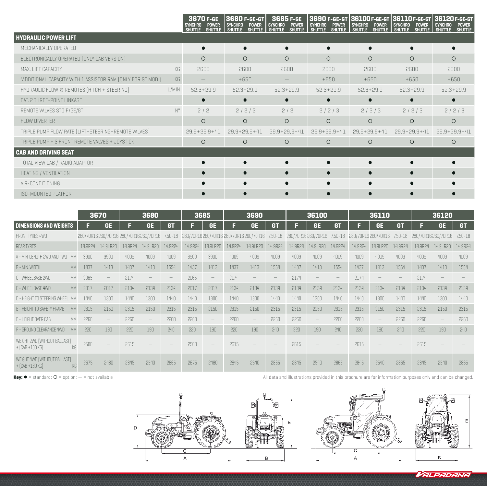|                                                             |             | 3670 F-GE<br><b>POWER</b><br><b>SYNCHRO</b><br><b>SHUTTLE</b><br>SHUTTLE | 3680 F-GE-GT<br><b>SYNCHRO</b><br><b>POWER</b><br>SHUTTLE<br><b>SHUTTLE</b> | 3685 F-GE<br><b>SYNCHRO</b><br><b>POWER</b><br><b>SHUTTLE</b><br><b>SHUTTLE</b> | <b>SYNCHRO</b><br><b>POWER</b><br><b>SHUTTLE</b><br>Shuttle I shuttle | <b>POWER</b><br><b>SYNCHRO</b> | 3690 F-GE-GT 36100 F-GE-GT 36110 F-GE-GT 36120 F-GE-GT<br><b>POWER</b><br><b>SYNCHRO</b><br>SHUTTLE I SHUTTLE | <b>SYNCHRO</b><br><b>POWER</b><br>SHUTTLE SHUTTLE<br><b>SHUTTLE</b> |  |
|-------------------------------------------------------------|-------------|--------------------------------------------------------------------------|-----------------------------------------------------------------------------|---------------------------------------------------------------------------------|-----------------------------------------------------------------------|--------------------------------|---------------------------------------------------------------------------------------------------------------|---------------------------------------------------------------------|--|
| <b>HYDRAULIC POWER LIFT</b>                                 |             |                                                                          |                                                                             |                                                                                 |                                                                       |                                |                                                                                                               |                                                                     |  |
| MECHANICALLY OPERATED                                       |             |                                                                          | $\bullet$                                                                   |                                                                                 |                                                                       |                                | г                                                                                                             |                                                                     |  |
| ELECTRONICALLY OPERATED [ONLY CAB VERSION]                  |             | $\circ$                                                                  | $\circ$                                                                     | $\circ$                                                                         | $\circ$                                                               | $\circ$                        | $\circ$                                                                                                       | $\circ$                                                             |  |
| MAX. LIFT CAPACITY                                          | KG          | 2600                                                                     | 2600                                                                        | 2600                                                                            | 2600                                                                  | 2600                           | 2600                                                                                                          | 2600                                                                |  |
| "ADDITIONAL CAPACITY WITH 1 ASSISTOR RAM (ONLY FOR GT MOD.) | KG          |                                                                          | $+650$                                                                      |                                                                                 | $+650$                                                                | $+650$                         | $+650$                                                                                                        | $+650$                                                              |  |
| HYDRAULIC FLOW @ REMOTES [HITCH + STEERING]                 | L/MIN       | $52,3+29,9$                                                              | $52,3+29,9$                                                                 | $52,3+29,9$                                                                     | $52,3+29,9$                                                           | $52,3+29,9$                    | $52,3+29,9$                                                                                                   | $52,3+29,9$                                                         |  |
| CAT. 2 THREE-POINT LINKAGE                                  |             |                                                                          | $\bullet$                                                                   | $\bullet$                                                                       |                                                                       | $\bullet$                      | $\bullet$                                                                                                     |                                                                     |  |
| REMOTE VALVES STD F/GE/GT                                   | $N^{\circ}$ | 2/2                                                                      | 2/2/3                                                                       | 2/2                                                                             | 2/2/3                                                                 | 2/2/3                          | 2/2/3                                                                                                         | 2/2/3                                                               |  |
| FLOW DIVERTER                                               |             | $\circ$                                                                  | $\circ$                                                                     | $\circ$                                                                         | $\circ$                                                               | $\circ$                        | $\circ$                                                                                                       | $\circ$                                                             |  |
| TRIPLE PUMP FLOW RATE [LIFT+STEERING+REMOTE VALVES]         |             | $29,9+29,9+41$                                                           | $29,9+29,9+41$                                                              | $29,9+29,9+41$                                                                  | $29,9+29,9+41$                                                        | $29,9+29,9+41$                 | $29,9+29,9+41$                                                                                                | $29,9+29,9+41$                                                      |  |
| TRIPLE PUMP + 3 FRONT REMOTE VALVES + JOYSTICK              |             | $\circ$                                                                  | $\circ$                                                                     | $\circ$                                                                         | $\circ$                                                               | $\circ$                        | $\circ$                                                                                                       | $\circ$                                                             |  |
| <b>CAB AND DRIVING SEAT</b>                                 |             |                                                                          |                                                                             |                                                                                 |                                                                       |                                |                                                                                                               |                                                                     |  |
| TOTAL VIEW CAB / RADIO ADAPTOR                              |             |                                                                          |                                                                             |                                                                                 |                                                                       |                                |                                                                                                               |                                                                     |  |
| HEATING / VENTILATION                                       |             |                                                                          |                                                                             |                                                                                 |                                                                       |                                |                                                                                                               |                                                                     |  |
| AIR-CONDITIONING                                            |             |                                                                          |                                                                             |                                                                                 |                                                                       |                                |                                                                                                               |                                                                     |  |
| ISO-MOUNTED PLATFOR                                         |             |                                                                          | $\bullet$                                                                   |                                                                                 |                                                                       |                                | r                                                                                                             |                                                                     |  |

|                                                       |         | 3680<br>3670                    |         |                                      | 3685      |         | 3690                            |         | 36100                                  |             |         | 36110               |             |         | 36120                           |             |                    |                                 |             |
|-------------------------------------------------------|---------|---------------------------------|---------|--------------------------------------|-----------|---------|---------------------------------|---------|----------------------------------------|-------------|---------|---------------------|-------------|---------|---------------------------------|-------------|--------------------|---------------------------------|-------------|
| <b>DIMENSIONS AND WEIGHTS</b>                         | F       | GE.                             |         | <b>GE</b>                            | <b>GT</b> | F       | <b>GE</b>                       | ы       | <b>GE</b>                              | <b>GT</b>   | F       | <b>GE</b>           | <b>GT</b>   | Е       | <b>GE</b>                       | <b>GT</b>   | F                  | <b>GE</b>                       | <b>GT</b>   |
| FRONT TYRES 4WD                                       |         |                                 |         | 280/70R16260/70R16280/70R16260/70R16 | 7.50-18   |         |                                 |         | 280/70R16260/70R16 280/70R16 260/70R16 | $7.50 - 18$ |         | 280/70R16 260/70R16 | $7.50 - 18$ |         | 280/70R16 260/70R16             | $7.50 - 18$ | 280/70R16260/70R16 |                                 | $7.50 - 18$ |
| <b>REAR TYRES</b>                                     | 14.9R24 | 14.9LR20                        | 14.9R24 | 14.9LR20                             | 14.9R24   | 14.9R24 | 14.9LR20                        | 14.9R24 | 14.9LR20                               | 14.9R24     | 14.9R24 | 14.9LR20            | 14.9R24     | 14.9R24 | 14.9LR20                        | 14.9R24     | 14.9R24            | 14.9LR20                        | 14.9R24     |
| A - MIN. LENGTH 2WD AND 4WD<br><b>MM</b>              | 3900    | 3900                            | 4009    | 4009                                 | 4009      | 3900    | 3900                            | 4009    | 4009                                   | 4009        | 4009    | 4009                | 4009        | 4009    | 4009                            | 4009        | 4009               | 4009                            | 4009        |
| <b>MM</b><br>B - MIN. WIDTH                           | 1437    | 1413                            | 1437    | 1413                                 | 1554      | 1437    | 1413                            | 1437    | 1413                                   | 1554        | 1437    | 1413                | 1554        | 1437    | 1413                            | 1554        | 1437               | 1413                            | 1554        |
| C - WHEELBASE 2WD<br><b>MM</b>                        | 2065    |                                 | 2174    |                                      |           | 2065    | $\hspace{0.1mm}-\hspace{0.1mm}$ | 2174    |                                        |             | 2174    |                     |             | 2174    |                                 |             | 2174               |                                 |             |
| <b>MM</b><br>C - WHEELBASE 4WD                        | 2017    | 2017                            | 2134    | 2134                                 | 2134      | 2017    | 2017                            | 2134    | 2134                                   | 2134        | 2134    | 2134                | 2134        | 2134    | 2134                            | 2134        | 2134               | 2134                            | 2134        |
| D - HEIGHT TO STEERING WHEEL                          | 1440    | 1300                            | 1440    | 1300                                 | 1440      | 1440    | 1300                            | 1440    | 1300                                   | 1440        | 1440    | 1300                | 1440        | 1440    | 1300                            | 1440        | 1440               | 1300                            | 1440        |
| E - HEIGHT TO SAFETY FRAME<br>MN                      | 2315    | 2150                            | 2315    | 2150                                 | 2315      | 2315    | 2150                            | 2315    | 2150                                   | 2315        | 2315    | 2150                | 2315        | 2315    | 2150                            | 2315        | 2315               | 2150                            | 2315        |
| E - HEIGHT OVER CAB<br><b>MM</b>                      | 2260    | $\hspace{0.1mm}-\hspace{0.1mm}$ | 2260    | $\hspace{0.1mm}-\hspace{0.1mm}$      | 2260      | 2260    | $\!-$                           | 2260    |                                        | 2260        | 2260    | $\qquad \qquad -$   | 2260        | 2260    | $\hspace{0.1mm}-\hspace{0.1mm}$ | 2260        | 2260               | $\hspace{0.1mm}-\hspace{0.1mm}$ | 2260        |
| F - GROUND CLEARANCE 4WD<br><b>MM</b>                 | 220     | 190                             | 220     | 190                                  | 240       | 220     | 190                             | 220     | 190                                    | 240         | 220     | 190                 | 240         | 220     | 190                             | 240         | 220                | 190                             | 240         |
| WEIGHT 2WD [WITHOUT BALLAST]<br>+ [CAB +130 KG]<br>KG | 2500    |                                 | 2615    |                                      |           | 2500    | $\hspace{0.1mm}-\hspace{0.1mm}$ | 2615    |                                        |             | 2615    |                     |             | 2615    |                                 |             | 2615               |                                 |             |
| WEIGHT 4WD ÍWITHOUT BALLAST)<br>+ [CAB +130 KG]       | 2675    | 2480                            | 2845    | 2540                                 | 2865      | 2675    | 2480                            | 2845    | 2540                                   | 2865        | 2845    | 2540                | 2865        | 2845    | 2540                            | 2865        | 2845               | 2540                            | 2865        |

 $Key: ① = standard; ① = option; - = not available$ 

All data and illustrations provided in this brochure are for information purposes only and can be changed.

VALPADANA

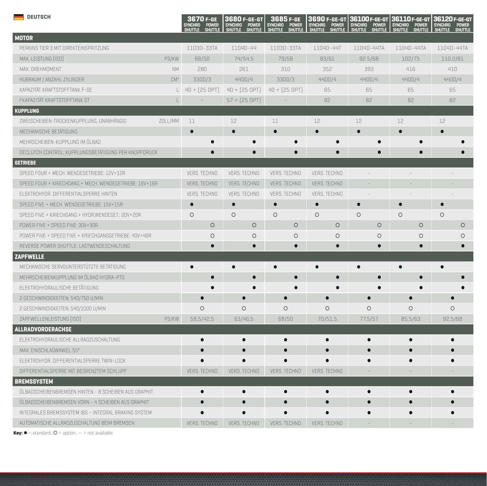| <b>DEUTSCH</b>                                         |                 | 3670 F-GE<br><b>SYNCHRO</b><br><b>POWER</b><br><u>UTTLE</u><br><b>SHUTTLE</b> | 3680 F-GE-GT<br><b>SYNCHRO</b><br><b>POWER</b><br><b>SHUTTLE</b><br><b>SHUTTLE</b> | 3685 F-GE<br><b>SYNCHRO</b><br><b>POWER</b><br><b>SHUTTLE</b><br><b>SHUTTLE</b> | 3690 F-GE-GT<br>SYNCHRO POWER<br><b>SHUTTLE</b><br><b>SHUTTLE</b> | 36100 F-GE-GT<br><b>SYNCHRO</b><br><b>POWER</b><br>SHUTTLE<br><b>SHUTTLE</b> | 36110 F-GE-GT<br><b>SYNCHRO</b><br><b>POWER</b><br><b>SHUTTLE</b><br><b>SHUTTLE</b> | 36120 F-GE-GT<br><b>SYNCHRO</b><br><b>POWER</b><br><b>SHUTTLE</b><br><b>SHUTTLE</b> |  |
|--------------------------------------------------------|-----------------|-------------------------------------------------------------------------------|------------------------------------------------------------------------------------|---------------------------------------------------------------------------------|-------------------------------------------------------------------|------------------------------------------------------------------------------|-------------------------------------------------------------------------------------|-------------------------------------------------------------------------------------|--|
| <b>MOTOR</b>                                           |                 |                                                                               |                                                                                    |                                                                                 |                                                                   |                                                                              |                                                                                     |                                                                                     |  |
| PERKINS TIER 3 MIT DIREKTEINSPRITZUNG                  |                 | 1103D-33TA                                                                    | 1104D-44                                                                           | 1103D-33TA                                                                      | 1104D-44T                                                         | 1104D-44TA                                                                   | 1104D-44TA                                                                          | 1104D-44TA                                                                          |  |
| MAX. LEISTUNG [ISO]                                    | PS/KW           | 68/50                                                                         | 74/54,5                                                                            | 79/58                                                                           | 83/61                                                             | 92.5/68                                                                      | 102/75                                                                              | 110.2/81                                                                            |  |
| MAX. DREHMOMENT                                        | <b>NM</b>       | 280                                                                           | 261                                                                                | 310                                                                             | 352                                                               | 393                                                                          | 416                                                                                 | 410                                                                                 |  |
| HUBRAUM / ANZAHL ZYLINDER                              | CM <sup>3</sup> | 3300/3                                                                        | 4400/4                                                                             | 3300/3                                                                          | 4400/4                                                            | 4400/4                                                                       | 4400/4                                                                              | 4400/4                                                                              |  |
| KAPAZITÄT KRAFTSTOFFTANK F-GE                          | $\lfloor$       | $40 + [25 OPT]$                                                               | $40 + [25 OPT]$                                                                    | $40 + [25 OPT]$                                                                 | 65                                                                | 65                                                                           | 65                                                                                  | 65                                                                                  |  |
| FKAPAZITÄT KRAFTSTOFFTANK GT                           | $\lfloor$       | $\equiv$                                                                      | $57 + [25$ OPT]                                                                    |                                                                                 | 82                                                                | 82                                                                           | 82                                                                                  | 82                                                                                  |  |
| <b>KUPPLUNG</b>                                        |                 |                                                                               |                                                                                    |                                                                                 |                                                                   |                                                                              |                                                                                     |                                                                                     |  |
| ZWEISCHEIBEN-TROCKENKUPPLUNG, UNABHÄNGIG               | ZOLL/MM         | 11                                                                            | 12                                                                                 | 11                                                                              | 12                                                                | 12                                                                           | 12                                                                                  | 12                                                                                  |  |
| MECHANISCHE BETÄTIGUNG                                 |                 | $\bullet$                                                                     |                                                                                    | $\bullet$                                                                       | $\bullet$                                                         | $\bullet$                                                                    | $\bullet$                                                                           |                                                                                     |  |
| MEHRSCHEIBEN-KUPPLUNG IM ÖLBAD                         |                 |                                                                               | $\bullet$                                                                          | $\bullet$                                                                       |                                                                   | C                                                                            |                                                                                     |                                                                                     |  |
| DECLUTCH CONTROL: KUPPLUNGSBETÄTIGUNG PER KNOPFDRUCK   |                 | О                                                                             | $\bullet$                                                                          | $\bullet$                                                                       |                                                                   | $\bullet$                                                                    |                                                                                     |                                                                                     |  |
| <b>GETRIEBE</b>                                        |                 |                                                                               |                                                                                    |                                                                                 |                                                                   |                                                                              |                                                                                     |                                                                                     |  |
| SPEED FOUR + MECH. WENDEGETRIEBE: 12V+12R              |                 | VERS. TECHNO                                                                  | VERS. TECHNO                                                                       | VERS. TECHNO                                                                    | <b>VERS. TECHNO</b>                                               |                                                                              |                                                                                     |                                                                                     |  |
| SPEED FOUR + KRIECHGANG.+ MECH. WENDEGETRIEBE: 16V+16R |                 | VERS. TECHNO                                                                  | VERS. TECHNO                                                                       | VERS. TECHNO                                                                    | VERS. TECHNO                                                      |                                                                              |                                                                                     |                                                                                     |  |
| ELEKTROHYDR, DIFFERENTIALSPERRE HINTEN                 |                 | VERS. TECHNO                                                                  | VERS. TECHNO                                                                       | VERS. TECHNO                                                                    | VERS. TECHNO                                                      |                                                                              |                                                                                     |                                                                                     |  |
| SPEED FIVE + MECH. WENDEGETRIEBE: 15V+15R              |                 | $\bullet$                                                                     | $\bullet$                                                                          | $\bullet$                                                                       | $\bullet$                                                         | $\bullet$                                                                    | $\bullet$                                                                           |                                                                                     |  |
| SPEED FIVE + KRIECHGANG.+ HYDR.WENDEGET.: 20V+20R      |                 | $\circ$                                                                       | $\circ$                                                                            | $\circ$                                                                         | $\circ$                                                           | $\circ$                                                                      | $\circ$                                                                             | $\circ$                                                                             |  |
| POWER FIVE + SPEED FIVE: 30V+30R                       |                 | $\circ$                                                                       | $\circ$                                                                            | $\circ$                                                                         | $\circ$                                                           | $\circ$                                                                      | $\circ$                                                                             | $\circ$                                                                             |  |
| POWER FIVE + SPEED FIVE + KRIECHGANGGETRIEBE: 40V+40R  |                 | $\circ$                                                                       | $\circ$                                                                            | $\circ$                                                                         | $\circ$                                                           | $\circ$                                                                      | $\circ$                                                                             | $\circ$                                                                             |  |
| REVERSE POWER SHUTTLE: LASTWENDESCHALTUNG              |                 | $\bullet$                                                                     | $\bullet$                                                                          | $\bullet$                                                                       | $\bullet$                                                         | $\bullet$                                                                    | $\bullet$                                                                           |                                                                                     |  |
| <b>ZAPFWELLE</b>                                       |                 |                                                                               |                                                                                    |                                                                                 |                                                                   |                                                                              |                                                                                     |                                                                                     |  |
| MECHANISCHE SERVOUNTERSTÜTZTE BETÄTIGUNG               |                 | $\bullet$                                                                     |                                                                                    | $\bullet$                                                                       | $\bullet$                                                         | $\bullet$                                                                    | $\bullet$                                                                           |                                                                                     |  |
| MEHRSCHEIBENKUPPLUNG IM ÖLBAD HYDRA-PTO                |                 | $\bullet$                                                                     | $\bullet$                                                                          | $\bullet$                                                                       |                                                                   | $\bullet$                                                                    | $\bullet$                                                                           |                                                                                     |  |
| ELEKTROHYDRAULISCHE BETÄTIGUNG                         |                 |                                                                               | $\bullet$                                                                          |                                                                                 |                                                                   |                                                                              |                                                                                     |                                                                                     |  |
| 2 GESCHWINDIGKEITEN: 540/750 U/MIN                     |                 | $\bullet$                                                                     | $\bullet$                                                                          | $\bullet$                                                                       | $\bullet$                                                         | $\bullet$                                                                    | $\bullet$                                                                           | $\bullet$                                                                           |  |
| 2 GESCHWINDIGKEITEN: 540/1000 U/MIN                    |                 | $\circ$                                                                       | $\circ$                                                                            | $\circ$                                                                         | $\circ$                                                           | $\circ$                                                                      | $\circ$                                                                             | $\circ$                                                                             |  |
| ZAPFWELLENLEISTUNG [ISO]                               | PS/KW           | 58,5/42,5                                                                     | 63/46,5                                                                            | 68/50                                                                           | 70/51,5                                                           | 77,5/57                                                                      | 85,5/63                                                                             | 92,5/68                                                                             |  |
| <b>ALLRADVORDERACHSE</b>                               |                 |                                                                               |                                                                                    |                                                                                 |                                                                   |                                                                              |                                                                                     |                                                                                     |  |
| ELEKTROHYDRAULISCHE ALLRADZUSCHALTUNG                  |                 | $\bullet$                                                                     | $\bullet$                                                                          | $\bullet$                                                                       | $\bullet$                                                         | $\bullet$                                                                    | $\bullet$                                                                           |                                                                                     |  |
| MAX. EINSCHLAGWINKEL 55°                               |                 | $\bullet$                                                                     | $\bullet$                                                                          | $\bullet$                                                                       | $\bullet$                                                         | $\bullet$                                                                    | $\bullet$                                                                           | $\bullet$                                                                           |  |
| ELEKTROHYDR. DIFFERENTIALSPERRE TWIN-LOCK              |                 |                                                                               | $\bullet$                                                                          |                                                                                 | $\bullet$                                                         | $\bullet$                                                                    | $\bullet$                                                                           |                                                                                     |  |
| DIFFERENTIALSPERRE MIT BEGRENZTEM SCHLUPF              |                 | VERS. TECHNO                                                                  | VERS. TECHNO                                                                       | VERS. TECHNO                                                                    | VERS. TECHNO                                                      |                                                                              |                                                                                     |                                                                                     |  |
| <b>BREMSSYSTEM</b>                                     |                 |                                                                               |                                                                                    |                                                                                 |                                                                   |                                                                              |                                                                                     |                                                                                     |  |
| ÖLBADSCHEIBENBREMSEN HINTEN - 8 SCHEIBEN AUS GRAPHIT   |                 | $\bullet$                                                                     | $\bullet$                                                                          | $\bullet$                                                                       | $\bullet$                                                         | $\bullet$                                                                    | $\bullet$                                                                           | $\bullet$                                                                           |  |
| ÖLBADSCHEIBENBREMSEN VORN - 4 SCHEIBEN AUS GRAPHIT     |                 |                                                                               | $\bullet$                                                                          |                                                                                 | $\bullet$                                                         | $\bullet$                                                                    | $\bullet$                                                                           |                                                                                     |  |
| INTEGRALES BREMSSYSTEM IBS - INTEGRAL BRAKING SYSTEM   |                 |                                                                               |                                                                                    |                                                                                 |                                                                   |                                                                              |                                                                                     |                                                                                     |  |
| AUTOMATISCHE ALLRADZUSCHALTUNG BEIM BREMSEN            |                 | VERS. TECHNO                                                                  | VERS. TECHNO                                                                       | VERS. TECHNO                                                                    | VERS. TECHNO                                                      |                                                                              |                                                                                     |                                                                                     |  |

 $Key: \bullet = standard; O = option; - = not available$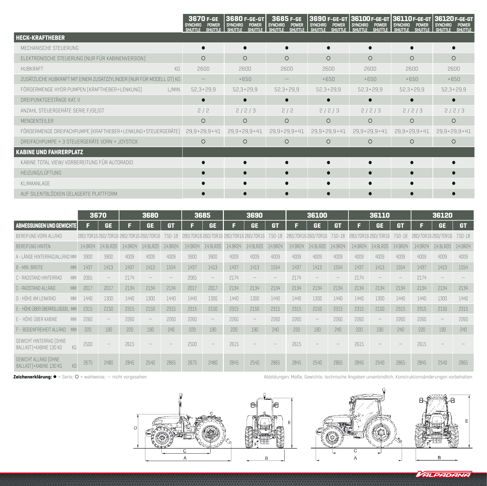|                                                                      | 3670 F-GE<br><b>POWER</b><br><b>SYNCHRO</b><br><b>SHUTTLE</b> | 3680 F-GE-GT<br><b>SYNCHRO</b><br><b>POWER</b><br>SHUTTLE I SHUTTLE<br>SHUTTLE | 3685 F-GE<br><b>SYNCHRO</b><br><b>POWER</b><br><b>SHUTTLE</b><br><b>SHUTTLE</b> | <b>SYNCHRO</b><br>POWER<br><b>SHUTTLE</b><br><b>SHUTTLE</b> | <b>SYNCHRO</b><br><b>POWER</b><br><b>SHUTTLE</b><br><b>SHUTTLE</b> | 3690 F-GE-GT 36100 F-GE-GT 36110 F-GE-GT 36120 F-GE-GT<br><b>SYNCHRO</b><br><b>POWER</b><br><b>SHUTTLE</b> | <b>SYNCHRO</b><br><b>POWER</b><br>SHUTTLE I SHUTTLE<br><b>SHUTTLE</b> |  |
|----------------------------------------------------------------------|---------------------------------------------------------------|--------------------------------------------------------------------------------|---------------------------------------------------------------------------------|-------------------------------------------------------------|--------------------------------------------------------------------|------------------------------------------------------------------------------------------------------------|-----------------------------------------------------------------------|--|
| <b>HECK-KRAFTHEBER</b>                                               |                                                               |                                                                                |                                                                                 |                                                             |                                                                    |                                                                                                            |                                                                       |  |
| MECHANISCHE STEUERUNG                                                | r                                                             |                                                                                |                                                                                 |                                                             |                                                                    |                                                                                                            |                                                                       |  |
| ELEKTRONISCHE STEUERUNG (NUR FÜR KABINENVERSION)                     | $\circ$                                                       | $\circ$                                                                        | $\circ$                                                                         | $\circ$                                                     | $\Omega$                                                           | $\circ$                                                                                                    | $\circ$                                                               |  |
| KG<br>HUBKRAFT                                                       | 2600                                                          | 2600                                                                           | 2600                                                                            | 2600                                                        | 2600                                                               | 2600                                                                                                       | 2600                                                                  |  |
| ZUSÄTZLICHE HUBKRAFT MIT EINEM ZUSATZZYLINDER (NUR FÜR MODELL GT) KG |                                                               | $+650$                                                                         |                                                                                 | $+650$                                                      | $+650$                                                             | $+650$                                                                                                     | $+650$                                                                |  |
| FÖRDERMENGE HYDR.PUMPEN (KRAFTHEBER+LENKUNG)<br>L/MIN                | $52,3+29,9$                                                   | $52,3+29,9$                                                                    | $52,3+29,9$                                                                     | $52,3+29,9$                                                 | $52,3+29,9$<br>$52,3+29,9$                                         |                                                                                                            | $52,3+29,9$                                                           |  |
| DREIPUNKTGESTÄNGE KAT. II                                            | Г                                                             | $\bullet$                                                                      |                                                                                 |                                                             |                                                                    | $\bullet$                                                                                                  |                                                                       |  |
| ANZAHL STEUERGERÄTE SERIE F/GE/GT                                    | 2/2                                                           | 2/2/3                                                                          | 2/2                                                                             | 2/2/3                                                       | 2/2/3                                                              | 2/2/3                                                                                                      | 2/2/3                                                                 |  |
| MENGENTEILER                                                         | $\circ$                                                       | $\circ$                                                                        | $\circ$                                                                         | $\circ$                                                     | $\Omega$                                                           | $\circ$                                                                                                    | $\circ$                                                               |  |
| FÖRDERMENGE DREIFACHPUMPE (KRAFTHEBER+LENKUNG+STEUERGERÄTE)          | $29,9+29,9+41$                                                | $29,9+29,9+41$                                                                 | $29,9+29,9+41$                                                                  | $29,9+29,9+41$                                              | $29,9+29,9+41$                                                     | $29,9+29,9+41$                                                                                             | $29,9+29,9+41$                                                        |  |
| DREIFACHPUMPE + 3 STEUERGERÄTE VORN + JOYSTICK                       | $\circ$                                                       | $\circ$                                                                        | $\circ$                                                                         | $\Omega$                                                    | $\circ$                                                            | $\circ$                                                                                                    | $\circ$                                                               |  |
| <b>KABINE UND FAHRERPLATZ</b>                                        |                                                               |                                                                                |                                                                                 |                                                             |                                                                    |                                                                                                            |                                                                       |  |
| KABINE TOTAL VIEW/ VORBEREITUNG FÜR AUTORADIO                        |                                                               |                                                                                |                                                                                 |                                                             |                                                                    |                                                                                                            |                                                                       |  |
| HEIZUNG/LÜFTUNG                                                      |                                                               | $\bullet$                                                                      |                                                                                 |                                                             |                                                                    |                                                                                                            |                                                                       |  |
| KLIMAANLAGE                                                          |                                                               |                                                                                |                                                                                 |                                                             |                                                                    |                                                                                                            |                                                                       |  |
| AUF SILENTBLÖCKEN GELAGERTE PLATTFORM                                |                                                               | $\bullet$                                                                      |                                                                                 |                                                             |                                                                    |                                                                                                            |                                                                       |  |

|                                                         | 3670<br>3680 |          |         |                                      |             | 3685    |                          | 3690    |                                        | 36100       |         |                     | 36110       |         |                          | 36120       |         |                                 |             |
|---------------------------------------------------------|--------------|----------|---------|--------------------------------------|-------------|---------|--------------------------|---------|----------------------------------------|-------------|---------|---------------------|-------------|---------|--------------------------|-------------|---------|---------------------------------|-------------|
| ABMESSUNGEN UND GEWICHTE                                | F            | GE.      |         | <b>GE</b>                            | <b>GT</b>   | в       | <b>GE</b>                | в       | <b>GE</b>                              | <b>GT</b>   | E       | <b>GE</b>           | <b>GT</b>   | F       | <b>GE</b>                | <b>GT</b>   | E       | GE.                             | <b>GT</b>   |
| BEREIFUNG VORN ALLRAD                                   |              |          |         | 280/70R16260/70R16280/70R16260/70R16 | $7.50 - 18$ |         |                          |         | 280/70R16260/70R16 280/70R16 260/70R16 | $7.50 - 18$ |         | 280/70R16 260/70R16 | $7.50 - 18$ |         | 280/70R16 260/70R16      | $7.50 - 18$ |         | 280/70R16260/70R16              | $7.50 - 18$ |
| <b>BEREIFUNG HINTEN</b>                                 | 14.9R24      | 14.9LR20 | 14.9R24 | 14.9LR20                             | 14.9R24     | 14.9R24 | 14.9LR20                 | 14.9R24 | 14.9LR20                               | 14.9R24     | 14.9R24 | 14.9LR20            | 14.9R24     | 14.9R24 | 14.9LR20                 | 14.9R24     | 14.9R24 | 14.9LR20                        | 14.9R24     |
| A - LÂNGE HINTERRAD/ALLRAD MM                           | 3900         | 3900     | 4009    | 4009                                 | 4009        | 3900    | 3900                     | 4009    | 4009                                   | 4009        | 4009    | 4009                | 4009        | 4009    | 4009                     | 4009        | 4009    | 4009                            | 4009        |
| <b>MM</b><br>B - MIN. BREITE                            | 1437         | 1413     | 1437    | 1413                                 | 1554        | 1437    | 1413                     | 1437    | 1413                                   | 1554        | 1437    | 1413                | 1554        | 1437    | 1413                     | 1554        | 1437    | 1413                            | 1554        |
| C - RADSTAND HINTERRAD<br><b>MM</b>                     | 2065         |          | 2174    |                                      |             | 2065    | $\!-$                    | 2174    |                                        |             | 2174    |                     |             | 2174    |                          |             | 2174    |                                 |             |
| C - RADSTAND ALLRAD<br><b>MM</b>                        | 2017         | 2017     | 2134    | 2134                                 | 2134        | 2017    | 2017                     | 2134    | 2134                                   | 2134        | 2134    | 2134                | 2134        | 2134    | 2134                     | 2134        | 2134    | 2134                            | 2134        |
| D - HÔHE AM LENKRAD<br><b>MM</b>                        | 1440         | 1300     | 1440    | 1300                                 | 1440        | 1440    | 1300                     | 1440    | 1300                                   | 1440        | 1440    | 1300                | 1440        | 1440    | 1300                     | 1440        | 1440    | 1300                            | 1440        |
| E - HÖHE ÜBER ÜBERROLLBÜGEL MM                          | 2315         | 2150     | 2315    | 2150                                 | 2315        | 2315    | 2150                     | 2315    | 2150                                   | 2315        | 2315    | 2150                | 2315        | 2315    | 2150                     | 2315        | 2315    | 2150                            | 2315        |
| E - HÔHE ÛBER KABINE<br><b>MM</b>                       | 2260         |          | 2260    | $\hspace{0.1mm}-\hspace{0.1mm}$      | 2260        | 2260    | $\!-$                    | 2260    |                                        | 2260        | 2260    | $\qquad \qquad -$   | 2260        | 2260    | $\overline{\phantom{m}}$ | 2260        | 2260    | $\hspace{0.1mm}-\hspace{0.1mm}$ | 2260        |
| F - BODENFREIHEIT ALLRAD<br>MN                          | 220          | 190      | 220     | 190                                  | 240         | 220     | 190                      | 220     | 190                                    | 240         | 220     | 190                 | 740         | 220     | 190                      | 240         | 220     | 190                             | 240         |
| GEWICHT HINTERRAD (OHNE<br>BALLAST)+KABINE 130 KG<br>KG | 2500         |          | 2615    |                                      |             | 2500    | $\overline{\phantom{a}}$ | 2615    |                                        |             | 2615    |                     |             | 2615    |                          |             | 2615    |                                 |             |
| GEWICHT ALLRAD (OHNE<br>BALLASTI+KABINE 130 KG          | 2675         | 2480     | 2845    | 2540                                 | 2865        | 2675    | 2480                     | 2845    | 2540                                   | 2865        | 2845    | 2540                | 2865        | 2845    | 2540                     | 2865        | 2845    | 2540                            | 2865        |

**Zeichenerklärung: ●** = Serie; ○ = wahlweise; — nicht vorgesehen

Abbildungen, Maße, Gewichte, technische Angaben unverbindlich; Konstruktionsänderungen vorbehalten.

VALPADANA